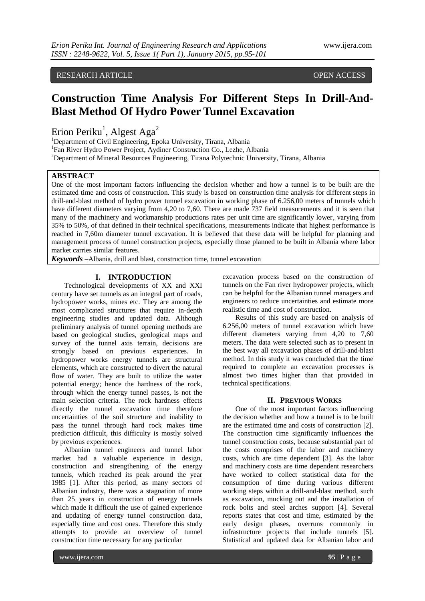RESEARCH ARTICLE OPEN ACCESS

# **Construction Time Analysis For Different Steps In Drill-And-Blast Method Of Hydro Power Tunnel Excavation**

Erion Periku<sup>1</sup>, Algest Aga<sup>2</sup>

<sup>1</sup>Department of Civil Engineering, Epoka University, Tirana, Albania

<sup>1</sup>Fan River Hydro Power Project, Aydiner Construction Co., Lezhe, Albania

<sup>2</sup>Department of Mineral Resources Engineering, Tirana Polytechnic University, Tirana, Albania

### **ABSTRACT**

One of the most important factors influencing the decision whether and how a tunnel is to be built are the estimated time and costs of construction. This study is based on construction time analysis for different steps in drill-and-blast method of hydro power tunnel excavation in working phase of 6.256,00 meters of tunnels which have different diameters varying from 4,20 to 7,60. There are made 737 field measurements and it is seen that many of the machinery and workmanship productions rates per unit time are significantly lower, varying from 35% to 50%, of that defined in their technical specifications, measurements indicate that highest performance is reached in 7,60m diameter tunnel excavation. It is believed that these data will be helpful for planning and management process of tunnel construction projects, especially those planned to be built in Albania where labor market carries similar features.

*Keywords* **–**Albania, drill and blast, construction time, tunnel excavation

## **I. INTRODUCTION**

Technological developments of XX and XXI century have set tunnels as an integral part of roads, hydropower works, mines etc. They are among the most complicated structures that require in-depth engineering studies and updated data. Although preliminary analysis of tunnel opening methods are based on geological studies, geological maps and survey of the tunnel axis terrain, decisions are strongly based on previous experiences. In hydropower works energy tunnels are structural elements, which are constructed to divert the natural flow of water. They are built to utilize the water potential energy; hence the hardness of the rock, through which the energy tunnel passes, is not the main selection criteria. The rock hardness effects directly the tunnel excavation time therefore uncertainties of the soil structure and inability to pass the tunnel through hard rock makes time prediction difficult, this difficulty is mostly solved by previous experiences.

Albanian tunnel engineers and tunnel labor market had a valuable experience in design, construction and strengthening of the energy tunnels, which reached its peak around the year 1985 [\[1\].](#page-5-0) After this period, as many sectors of Albanian industry, there was a stagnation of more than 25 years in construction of energy tunnels which made it difficult the use of gained experience and updating of energy tunnel construction data, especially time and cost ones. Therefore this study attempts to provide an overview of tunnel construction time necessary for any particular

excavation process based on the construction of tunnels on the Fan river hydropower projects, which can be helpful for the Albanian tunnel managers and engineers to reduce uncertainties and estimate more realistic time and cost of construction.

Results of this study are based on analysis of 6.256,00 meters of tunnel excavation which have different diameters varying from 4,20 to 7,60 meters. The data were selected such as to present in the best way all excavation phases of drill-and-blast method. In this study it was concluded that the time required to complete an excavation processes is almost two times higher than that provided in technical specifications.

#### **II. PREVIOUS WORKS**

One of the most important factors influencing the decision whether and how a tunnel is to be built are the estimated time and costs of construction [2]. The construction time significantly influences the tunnel construction costs, because substantial part of the costs comprises of the labor and machinery costs, which are time dependent [\[3\].](#page-6-0) As the labor and machinery costs are time dependent researchers have worked to collect statistical data for the consumption of time during various different working steps within a drill-and-blast method, such as excavation, mucking out and the installation of rock bolts and steel arches support [\[4\].](#page-6-1) Several reports states that cost and time, estimated by the early design phases, overruns commonly in infrastructure projects that include tunnels [\[5\].](#page-6-2) Statistical and updated data for Albanian labor and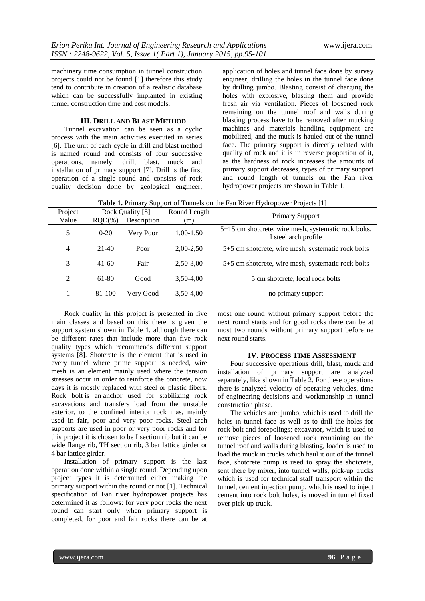machinery time consumption in tunnel construction projects could not be found [\[1\]](#page-5-0) therefore this study tend to contribute in creation of a realistic database which can be successfully implanted in existing tunnel construction time and cost models.

## **III. DRILL AND BLAST METHOD**

Tunnel excavation can be seen as a cyclic process with the main activities executed in series [\[6\].](#page-6-3) The unit of each cycle in drill and blast method is named round and consists of four successive operations, namely: drill, blast, muck and installation of primary support [\[7\].](#page-6-4) Drill is the first operation of a single round and consists of rock quality decision done by geological engineer, application of holes and tunnel face done by survey engineer, drilling the holes in the tunnel face done by drilling jumbo. Blasting consist of charging the holes with explosive, blasting them and provide fresh air via ventilation. Pieces of loosened rock remaining on the tunnel roof and walls during blasting process have to be removed after mucking machines and materials handling equipment are mobilized, and the muck is hauled out of the tunnel face. The primary support is directly related with quality of rock and it is in reverse proportion of it, as the hardness of rock increases the amounts of primary support decreases, types of primary support and round length of tunnels on the Fan river hydropower projects are shown in Table 1.

**Table 1.** Primary Support of Tunnels on the Fan River Hydropower Projects [\[1\]](#page-5-0)

| Project        | Rock Quality [8] |             | Round Length | <b>Primary Support</b>                                                       |
|----------------|------------------|-------------|--------------|------------------------------------------------------------------------------|
| Value          | $ROD(\%)$        | Description | (m)          |                                                                              |
| 5              | $0 - 20$         | Very Poor   | $1,00-1,50$  | 5+15 cm shotcrete, wire mesh, systematic rock bolts,<br>I steel arch profile |
| $\overline{4}$ | $21-40$          | Poor        | $2,00-2,50$  | 5+5 cm shotcrete, wire mesh, systematic rock bolts                           |
| 3              | $41-60$          | Fair        | 2,50-3,00    | 5+5 cm shotcrete, wire mesh, systematic rock bolts                           |
| 2              | 61-80            | Good        | 3,50-4,00    | 5 cm shotcrete, local rock bolts                                             |
|                | 81-100           | Very Good   | 3,50-4,00    | no primary support                                                           |

Rock quality in this project is presented in five main classes and based on this there is given the support system shown in Table 1, although there can be different rates that include more than five rock quality types which recommends different support systems [\[8\].](#page-6-5) Shotcrete is the element that is used in every tunnel where prime support is needed, wire mesh is an element mainly used where the tension stresses occur in order to reinforce the concrete, now days it is mostly replaced with steel or plastic fibers. Rock bolt is an [anchor u](http://en.wikipedia.org/wiki/Anchor_bolt)sed for stabilizing rock excavations and transfers load from the unstable exterior, to the confined interior rock mas, mainly used in fair, poor and very poor rocks. Steel arch supports are used in poor or very poor rocks and for this project it is chosen to be I section rib but it can be wide flange rib, TH section rib, 3 bar lattice girder or 4 bar lattice girder.

Installation of primary support is the last operation done within a single round. Depending upon project types it is determined either making the primary support within the round or not [\[1\].](#page-5-0) Technical specification of Fan river hydropower projects has determined it as follows: for very poor rocks the next round can start only when primary support is completed, for poor and fair rocks there can be at most one round without primary support before the next round starts and for good rocks there can be at most two rounds without primary support before ne next round starts.

## **IV. PROCESS TIME ASSESSMENT**

Four successive operations drill, blast, muck and installation of primary support are analyzed separately, like shown in Table 2. For these operations there is analyzed velocity of operating vehicles, time of engineering decisions and workmanship in tunnel construction phase.

The vehicles are; jumbo, which is used to drill the holes in tunnel face as well as to drill the holes for rock bolt and forepolings; excavator, which is used to remove pieces of loosened rock remaining on the tunnel roof and walls during blasting, loader is used to load the muck in trucks which haul it out of the tunnel face, shotcrete pump is used to spray the shotcrete, sent there by mixer, into tunnel walls, pick-up trucks which is used for technical staff transport within the tunnel, cement injection pump, which is used to inject cement into rock bolt holes, is moved in tunnel fixed over pick-up truck.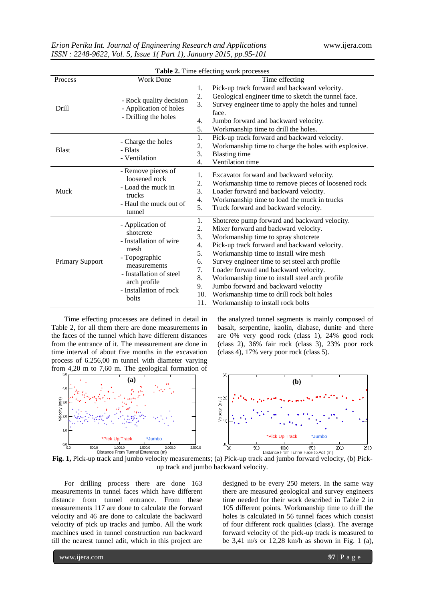| Table 2. Time effecting work processes |                                                                                                                                                                                |                                                                  |                                                                                                                                                                                                                                                                                                                                                                                                                                                                                             |  |  |  |
|----------------------------------------|--------------------------------------------------------------------------------------------------------------------------------------------------------------------------------|------------------------------------------------------------------|---------------------------------------------------------------------------------------------------------------------------------------------------------------------------------------------------------------------------------------------------------------------------------------------------------------------------------------------------------------------------------------------------------------------------------------------------------------------------------------------|--|--|--|
| Process                                | <b>Work Done</b>                                                                                                                                                               |                                                                  | Time effecting                                                                                                                                                                                                                                                                                                                                                                                                                                                                              |  |  |  |
| Drill                                  | - Rock quality decision<br>- Application of holes<br>- Drilling the holes                                                                                                      | 1.<br>2.<br>3.<br>4.<br>5.                                       | Pick-up track forward and backward velocity.<br>Geological engineer time to sketch the tunnel face.<br>Survey engineer time to apply the holes and tunnel<br>face.<br>Jumbo forward and backward velocity.<br>Workmanship time to drill the holes.                                                                                                                                                                                                                                          |  |  |  |
| <b>Blast</b>                           | - Charge the holes<br>- Blats<br>- Ventilation                                                                                                                                 | 1.<br>2.<br>3.<br>4.                                             | Pick-up track forward and backward velocity.<br>Workmanship time to charge the holes with explosive.<br><b>Blasting time</b><br>Ventilation time                                                                                                                                                                                                                                                                                                                                            |  |  |  |
| Muck                                   | - Remove pieces of<br>loosened rock<br>- Load the muck in<br>trucks<br>- Haul the muck out of<br>tunnel                                                                        | 1.<br>2.<br>3.<br>4.<br>5.                                       | Excavator forward and backward velocity.<br>Workmanship time to remove pieces of loosened rock<br>Loader forward and backward velocity.<br>Workmanship time to load the muck in trucks<br>Truck forward and backward velocity.                                                                                                                                                                                                                                                              |  |  |  |
| <b>Primary Support</b>                 | - Application of<br>shotcrete<br>- Installation of wire<br>mesh<br>- Topographic<br>measurements<br>- Installation of steel<br>arch profile<br>- Installation of rock<br>bolts | 1.<br>2.<br>3.<br>4.<br>5.<br>6.<br>7.<br>8.<br>9.<br>10.<br>11. | Shotcrete pump forward and backward velocity.<br>Mixer forward and backward velocity.<br>Workmanship time to spray shotcrete<br>Pick-up track forward and backward velocity.<br>Workmanship time to install wire mesh<br>Survey engineer time to set steel arch profile<br>Loader forward and backward velocity.<br>Workmanship time to install steel arch profile<br>Jumbo forward and backward velocity<br>Workmanship time to drill rock bolt holes<br>Workmanship to install rock bolts |  |  |  |

Time effecting processes are defined in detail in Table 2, for all them there are done measurements in the faces of the tunnel which have different distances from the entrance of it. The measurement are done in time interval of about five months in the excavation process of 6.256,00 m tunnel with diameter varying from 4,20 m to 7,60 m. The geological formation of the analyzed tunnel segments is mainly composed of basalt, serpentine, kaolin, diabase, dunite and there are 0% very good rock (class 1), 24% good rock (class 2), 36% fair rock (class 3), 23% poor rock (class 4), 17% very poor rock (class 5).



**Fig. 1,** Pick-up track and jumbo velocity measurements; (a) Pick-up track and jumbo forward velocity, (b) Pickup track and jumbo backward velocity.

For drilling process there are done 163 measurements in tunnel faces which have different distance from tunnel entrance. From these measurements 117 are done to calculate the forward velocity and 46 are done to calculate the backward velocity of pick up tracks and jumbo. All the work machines used in tunnel construction run backward till the nearest tunnel adit, which in this project are

designed to be every 250 meters. In the same way there are measured geological and survey engineers time needed for their work described in Table 2 in 105 different points. Workmanship time to drill the holes is calculated in 56 tunnel faces which consist of four different rock qualities (class). The average forward velocity of the pick-up track is measured to be 3,41 m/s or 12,28 km/h as shown in Fig. 1 (a),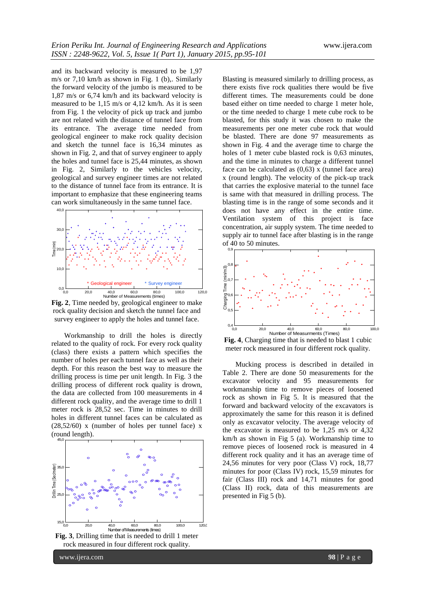and its backward velocity is measured to be 1,97 m/s or 7,10 km/h as shown in Fig. 1 (b),. Similarly the forward velocity of the jumbo is measured to be 1,87 m/s or 6,74 km/h and its backward velocity is measured to be 1,15 m/s or 4,12 km/h. As it is seen from Fig. 1 the velocity of pick up track and jumbo are not related with the distance of tunnel face from its entrance. The average time needed from geological engineer to make rock quality decision and sketch the tunnel face is 16,34 minutes as shown in Fig. 2, and that of survey engineer to apply the holes and tunnel face is 25,44 minutes, as shown in Fig. 2, Similarly to the vehicles velocity, geological and survey engineer times are not related to the distance of tunnel face from its entrance. It is important to emphasize that these engineering teams can work simultaneously in the same tunnel face.



**Fig. 2**, Time needed by, geological engineer to make rock quality decision and sketch the tunnel face and survey engineer to apply the holes and tunnel face.

Workmanship to drill the holes is directly related to the quality of rock. For every rock quality (class) there exists a pattern which specifies the number of holes per each tunnel face as well as their depth. For this reason the best way to measure the drilling process is time per unit length. In Fig. 3 the drilling process of different rock quality is drown, the data are collected from 100 measurements in 4 different rock quality, and the average time to drill 1 meter rock is 28,52 sec. Time in minutes to drill holes in different tunnel faces can be calculated as (28,52/60) x (number of holes per tunnel face) x (round length).



rock measured in four different rock quality.

Blasting is measured similarly to drilling process, as there exists five rock qualities there would be five different times. The measurements could be done based either on time needed to charge 1 meter hole, or the time needed to charge 1 mete cube rock to be blasted, for this study it was chosen to make the measurements per one meter cube rock that would be blasted. There are done 97 measurements as shown in Fig. 4 and the average time to charge the holes of 1 meter cube blasted rock is 0,63 minutes, and the time in minutes to charge a different tunnel face can be calculated as  $(0,63)$  x (tunnel face area) x (round length). The velocity of the pick-up track that carries the explosive material to the tunnel face is same with that measured in drilling process. The blasting time is in the range of some seconds and it does not have any effect in the entire time. Ventilation system of this project is face concentration, air supply system. The time needed to supply air to tunnel face after blasting is in the range of 40 to 50 minutes.



**Fig. 4**, Charging time that is needed to blast 1 cubic meter rock measured in four different rock quality.

Mucking process is described in detailed in Table 2. There are done 50 measurements for the excavator velocity and 95 measurements for workmanship time to remove pieces of loosened rock as shown in Fig 5. It is measured that the forward and backward velocity of the excavators is approximately the same for this reason it is defined only as excavator velocity. The average velocity of the excavator is measured to be 1,25 m/s or 4,32 km/h as shown in Fig 5 (a). Workmanship time to remove pieces of loosened rock is measured in 4 different rock quality and it has an average time of 24,56 minutes for very poor (Class V) rock, 18,77 minutes for poor (Class IV) rock, 15,59 minutes for fair (Class III) rock and 14,71 minutes for good (Class II) rock, data of this measurements are presented in Fig 5 (b).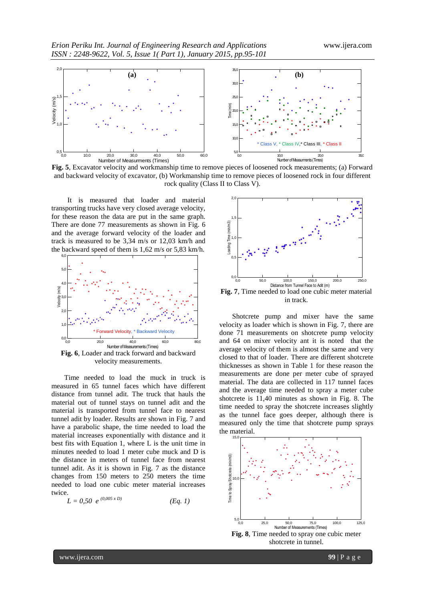

**Fig. 5**, Excavator velocity and workmanship time to remove pieces of loosened rock measurements; (a) Forward and backward velocity of excavator, (b) Workmanship time to remove pieces of loosened rock in four different rock quality (Class II to Class V).

It is measured that loader and material transporting trucks have very closed average velocity, for these reason the data are put in the same graph. There are done 77 measurements as shown in Fig. 6 and the average forward velocity of the loader and track is measured to be 3,34 m/s or 12,03 km/h and the backward speed of them is 1,62 m/s or 5,83 km/h.



Time needed to load the muck in truck is measured in 65 tunnel faces which have different distance from tunnel adit. The truck that hauls the material out of tunnel stays on tunnel adit and the material is transported from tunnel face to nearest tunnel adit by loader. Results are shown in Fig. 7 and have a parabolic shape, the time needed to load the material increases exponentially with distance and it best fits with Equation 1, where L is the unit time in minutes needed to load 1 meter cube muck and D is the distance in meters of tunnel face from nearest tunnel adit. As it is shown in Fig. 7 as the distance changes from 150 meters to 250 meters the time needed to load one cubic meter material increases twice.

$$
L = 0.50 \, e^{(0.005 \, x \, D)} \tag{Eq. 1}
$$



Shotcrete pump and mixer have the same velocity as loader which is shown in Fig. 7, there are done 71 measurements on shotcrete pump velocity and 64 on mixer velocity ant it is noted that the average velocity of them is almost the same and very closed to that of loader. There are different shotcrete thicknesses as shown in Table 1 for these reason the measurements are done per meter cube of sprayed material. The data are collected in 117 tunnel faces and the average time needed to spray a meter cube shotcrete is 11,40 minutes as shown in Fig. 8. The time needed to spray the shotcrete increases slightly as the tunnel face goes deeper, although there is measured only the time that shotcrete pump sprays the material.

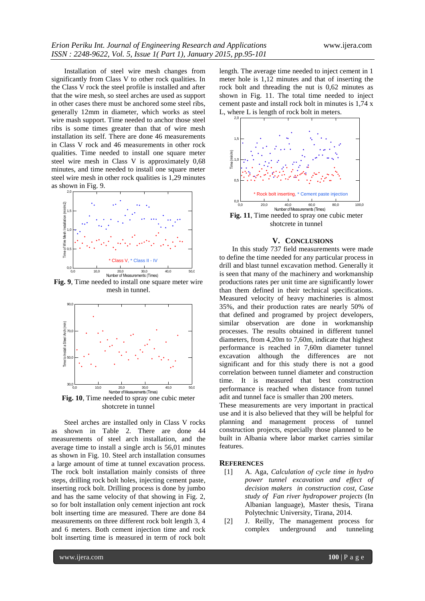Installation of steel wire mesh changes from significantly from Class V to other rock qualities. In the Class V rock the steel profile is installed and after that the wire mesh, so steel arches are used as support in other cases there must be anchored some steel ribs, generally 12mm in diameter, which works as steel wire mash support. Time needed to anchor those steel ribs is some times greater than that of wire mesh installation its self. There are done 46 measurements in Class V rock and 46 measurements in other rock qualities. Time needed to install one square meter steel wire mesh in Class V is approximately 0,68 minutes, and time needed to install one square meter steel wire mesh in other rock qualities is 1,29 minutes as shown in Fig. 9.



**Fig. 9**, Time needed to install one square meter wire mesh in tunnel.



shotcrete in tunnel

Steel arches are installed only in Class V rocks as shown in Table 2. There are done 44 measurements of steel arch installation, and the average time to install a single arch is 56,01 minutes as shown in Fig. 10. Steel arch installation consumes a large amount of time at tunnel excavation process. The rock bolt installation mainly consists of three steps, drilling rock bolt holes, injecting cement paste, inserting rock bolt. Drilling process is done by jumbo and has the same velocity of that showing in Fig. 2, so for bolt installation only cement injection ant rock bolt inserting time are measured. There are done 84 measurements on three different rock bolt length 3, 4 and 6 meters. Both cement injection time and rock bolt inserting time is measured in term of rock bolt length. The average time needed to inject cement in 1 meter hole is 1,12 minutes and that of inserting the rock bolt and threading the nut is 0,62 minutes as shown in Fig. 11. The total time needed to inject cement paste and install rock bolt in minutes is 1,74 x L, where L is length of rock bolt in meters.



**Fig. 11**, Time needed to spray one cubic meter shotcrete in tunnel

#### **V. CONCLUSIONS**

In this study 737 field measurements were made to define the time needed for any particular process in drill and blast tunnel excavation method. Generally it is seen that many of the machinery and workmanship productions rates per unit time are significantly lower than them defined in their technical specifications. Measured velocity of heavy machineries is almost 35%, and their production rates are nearly 50% of that defined and programed by project developers, similar observation are done in workmanship processes. The results obtained in different tunnel diameters, from 4,20m to 7,60m, indicate that highest performance is reached in 7,60m diameter tunnel excavation although the differences are not significant and for this study there is not a good correlation between tunnel diameter and construction time. It is measured that best construction performance is reached when distance from tunnel adit and tunnel face is smaller than 200 meters.

These measurements are very important in practical use and it is also believed that they will be helpful for planning and management process of tunnel construction projects, especially those planned to be built in Albania where labor market carries similar features.

#### **REFERENCES**

- <span id="page-5-0"></span>[1] A. Aga, *Calculation of cycle time in hydro power tunnel excavation and effect of decision makers in construction cost, Case study of Fan river hydropower projects* (In Albanian language), Master thesis, Tirana Polytechnic University, Tirana, 2014.
- [2] J. Reilly, The management process for complex underground and tunneling